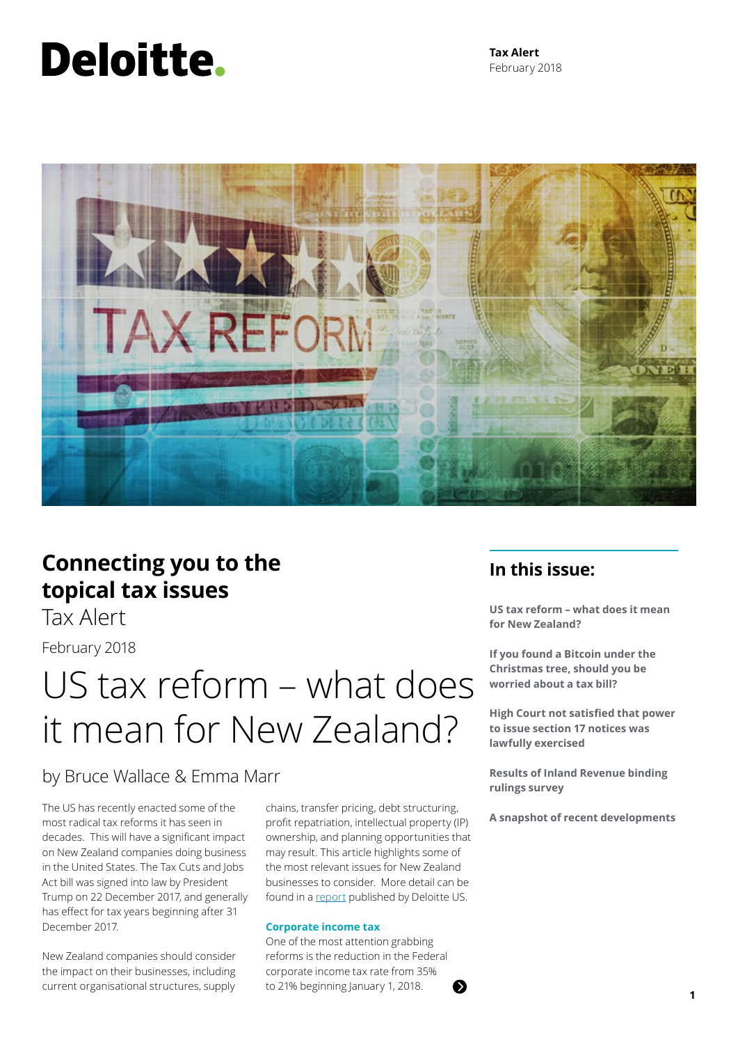# Deloitte.

**Tax Alert** February 2018



### **Connecting you to the topical tax issues**

Tax Alert

February 2018

### US tax reform – what does it mean for New Zealand?

### by Bruce Wallace & Emma Marr

The US has recently enacted some of the most radical tax reforms it has seen in decades. This will have a significant impact on New Zealand companies doing business in the United States. The Tax Cuts and Jobs Act bill was signed into law by President Trump on 22 December 2017, and generally has effect for tax years beginning after 31 December 2017.

New Zealand companies should consider the impact on their businesses, including current organisational structures, supply

chains, transfer pricing, debt structuring, profit repatriation, intellectual property (IP) ownership, and planning opportunities that may result. This article highlights some of the most relevant issues for New Zealand businesses to consider. More detail can be found in a [report](https://www2.deloitte.com/content/dam/Deloitte/us/Documents/Tax/us-tax-reform-report.pdf) published by Deloitte US.

#### **Corporate income tax**

One of the most attention grabbing reforms is the reduction in the Federal corporate income tax rate from 35% to 21% beginning January 1, 2018. **<sup>1</sup>**

### **In this issue:**

**US tax reform – what does it mean for New Zealand?**

**If you found a Bitcoin under the Christmas tree, should you be worried about a tax bill?**

**High Court not satisfied that power to issue section 17 notices was lawfully exercised**

**Results of Inland Revenue binding rulings survey**

**A snapshot of recent developments**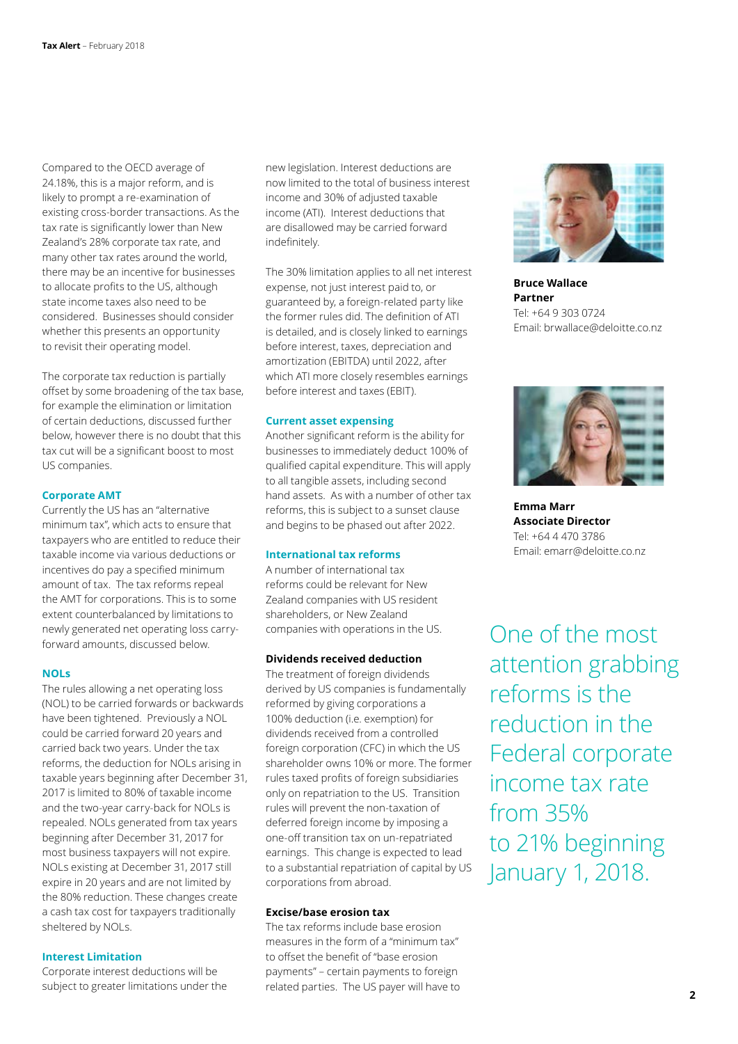Compared to the OECD average of 24.18%, this is a major reform, and is likely to prompt a re-examination of existing cross-border transactions. As the tax rate is significantly lower than New Zealand's 28% corporate tax rate, and many other tax rates around the world, there may be an incentive for businesses to allocate profits to the US, although state income taxes also need to be considered. Businesses should consider whether this presents an opportunity to revisit their operating model.

The corporate tax reduction is partially offset by some broadening of the tax base, for example the elimination or limitation of certain deductions, discussed further below, however there is no doubt that this tax cut will be a significant boost to most US companies.

#### **Corporate AMT**

Currently the US has an "alternative minimum tax", which acts to ensure that taxpayers who are entitled to reduce their taxable income via various deductions or incentives do pay a specified minimum amount of tax. The tax reforms repeal the AMT for corporations. This is to some extent counterbalanced by limitations to newly generated net operating loss carryforward amounts, discussed below.

#### **NOLs**

The rules allowing a net operating loss (NOL) to be carried forwards or backwards have been tightened. Previously a NOL could be carried forward 20 years and carried back two years. Under the tax reforms, the deduction for NOLs arising in taxable years beginning after December 31, 2017 is limited to 80% of taxable income and the two-year carry-back for NOLs is repealed. NOLs generated from tax years beginning after December 31, 2017 for most business taxpayers will not expire. NOLs existing at December 31, 2017 still expire in 20 years and are not limited by the 80% reduction. These changes create a cash tax cost for taxpayers traditionally sheltered by NOLs.

#### **Interest Limitation**

Corporate interest deductions will be subject to greater limitations under the new legislation. Interest deductions are now limited to the total of business interest income and 30% of adjusted taxable income (ATI). Interest deductions that are disallowed may be carried forward indefinitely.

The 30% limitation applies to all net interest expense, not just interest paid to, or guaranteed by, a foreign-related party like the former rules did. The definition of ATI is detailed, and is closely linked to earnings before interest, taxes, depreciation and amortization (EBITDA) until 2022, after which ATI more closely resembles earnings before interest and taxes (EBIT).

#### **Current asset expensing**

Another significant reform is the ability for businesses to immediately deduct 100% of qualified capital expenditure. This will apply to all tangible assets, including second hand assets. As with a number of other tax reforms, this is subject to a sunset clause and begins to be phased out after 2022.

#### **International tax reforms**

A number of international tax reforms could be relevant for New Zealand companies with US resident shareholders, or New Zealand companies with operations in the US.

#### **Dividends received deduction**

The treatment of foreign dividends derived by US companies is fundamentally reformed by giving corporations a 100% deduction (i.e. exemption) for dividends received from a controlled foreign corporation (CFC) in which the US shareholder owns 10% or more. The former rules taxed profits of foreign subsidiaries only on repatriation to the US. Transition rules will prevent the non-taxation of deferred foreign income by imposing a one-off transition tax on un-repatriated earnings. This change is expected to lead to a substantial repatriation of capital by US corporations from abroad.

#### **Excise/base erosion tax**

The tax reforms include base erosion measures in the form of a "minimum tax" to offset the benefit of "base erosion payments" – certain payments to foreign related parties. The US payer will have to



**Bruce Wallace Partner** Tel: +64 9 303 0724 Email: brwallace@deloitte.co.nz



**Emma Marr Associate Director** Tel: +64 4 470 3786 Email: emarr@deloitte.co.nz

One of the most attention grabbing reforms is the reduction in the Federal corporate income tax rate from 35% to 21% beginning January 1, 2018.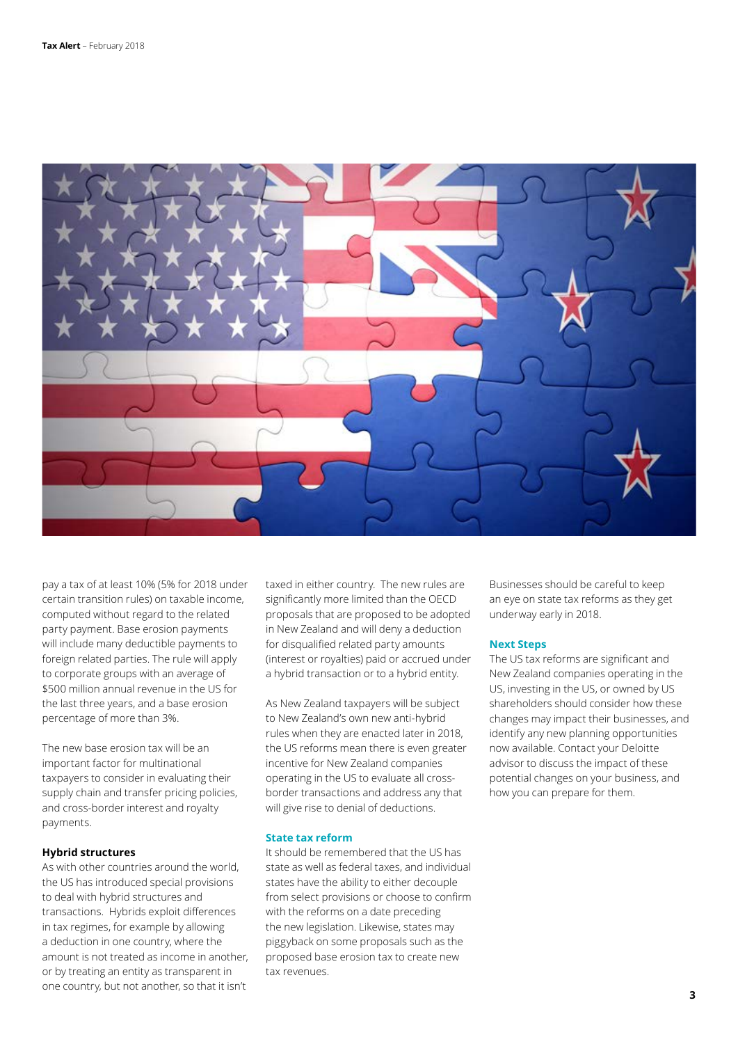

pay a tax of at least 10% (5% for 2018 under certain transition rules) on taxable income, computed without regard to the related party payment. Base erosion payments will include many deductible payments to foreign related parties. The rule will apply to corporate groups with an average of \$500 million annual revenue in the US for the last three years, and a base erosion percentage of more than 3%.

The new base erosion tax will be an important factor for multinational taxpayers to consider in evaluating their supply chain and transfer pricing policies, and cross-border interest and royalty payments.

#### **Hybrid structures**

As with other countries around the world, the US has introduced special provisions to deal with hybrid structures and transactions. Hybrids exploit differences in tax regimes, for example by allowing a deduction in one country, where the amount is not treated as income in another, or by treating an entity as transparent in one country, but not another, so that it isn't

taxed in either country. The new rules are significantly more limited than the OECD proposals that are proposed to be adopted in New Zealand and will deny a deduction for disqualified related party amounts (interest or royalties) paid or accrued under a hybrid transaction or to a hybrid entity.

As New Zealand taxpayers will be subject to New Zealand's own new anti-hybrid rules when they are enacted later in 2018, the US reforms mean there is even greater incentive for New Zealand companies operating in the US to evaluate all crossborder transactions and address any that will give rise to denial of deductions.

#### **State tax reform**

It should be remembered that the US has state as well as federal taxes, and individual states have the ability to either decouple from select provisions or choose to confirm with the reforms on a date preceding the new legislation. Likewise, states may piggyback on some proposals such as the proposed base erosion tax to create new tax revenues.

Businesses should be careful to keep an eye on state tax reforms as they get underway early in 2018.

#### **Next Steps**

The US tax reforms are significant and New Zealand companies operating in the US, investing in the US, or owned by US shareholders should consider how these changes may impact their businesses, and identify any new planning opportunities now available. Contact your Deloitte advisor to discuss the impact of these potential changes on your business, and how you can prepare for them.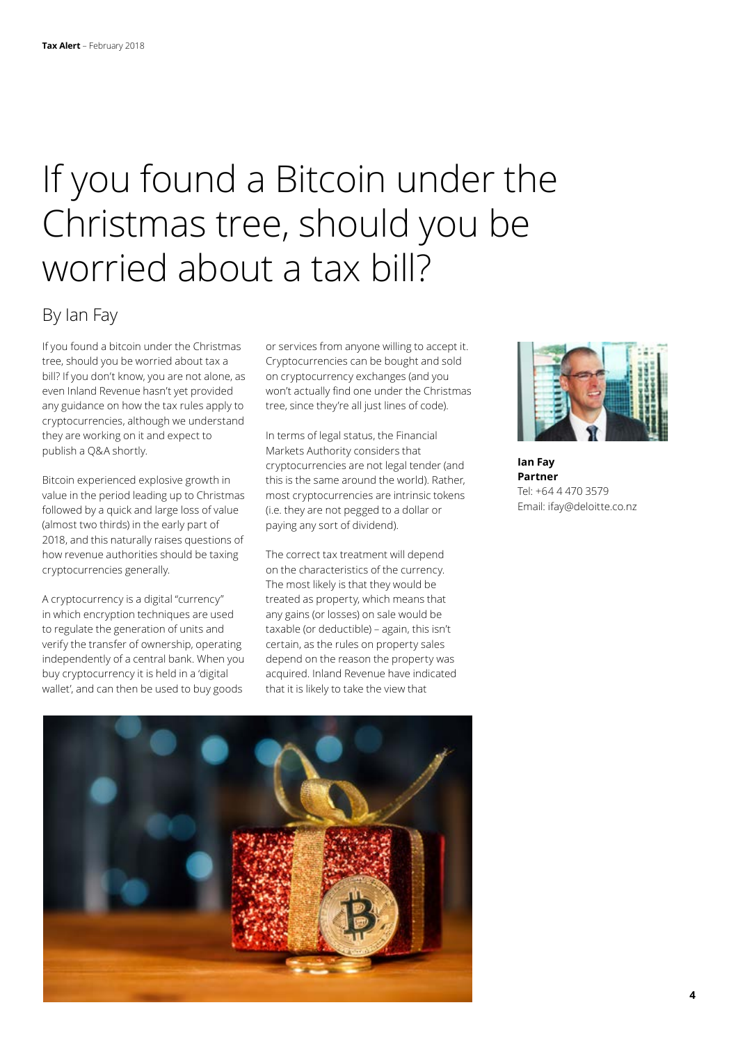## If you found a Bitcoin under the Christmas tree, should you be worried about a tax bill?

### By Ian Fay

If you found a bitcoin under the Christmas tree, should you be worried about tax a bill? If you don't know, you are not alone, as even Inland Revenue hasn't yet provided any guidance on how the tax rules apply to cryptocurrencies, although we understand they are working on it and expect to publish a Q&A shortly.

Bitcoin experienced explosive growth in value in the period leading up to Christmas followed by a quick and large loss of value (almost two thirds) in the early part of 2018, and this naturally raises questions of how revenue authorities should be taxing cryptocurrencies generally.

A cryptocurrency is a digital "currency" in which encryption techniques are used to regulate the generation of units and verify the transfer of ownership, operating independently of a central bank. When you buy cryptocurrency it is held in a 'digital wallet', and can then be used to buy goods

or services from anyone willing to accept it. Cryptocurrencies can be bought and sold on cryptocurrency exchanges (and you won't actually find one under the Christmas tree, since they're all just lines of code).

In terms of legal status, the Financial Markets Authority considers that cryptocurrencies are not legal tender (and this is the same around the world). Rather, most cryptocurrencies are intrinsic tokens (i.e. they are not pegged to a dollar or paying any sort of dividend).

The correct tax treatment will depend on the characteristics of the currency. The most likely is that they would be treated as property, which means that any gains (or losses) on sale would be taxable (or deductible) – again, this isn't certain, as the rules on property sales depend on the reason the property was acquired. Inland Revenue have indicated that it is likely to take the view that



**Ian Fay Partner** Tel: +64 4 470 3579 Email: ifay@deloitte.co.nz

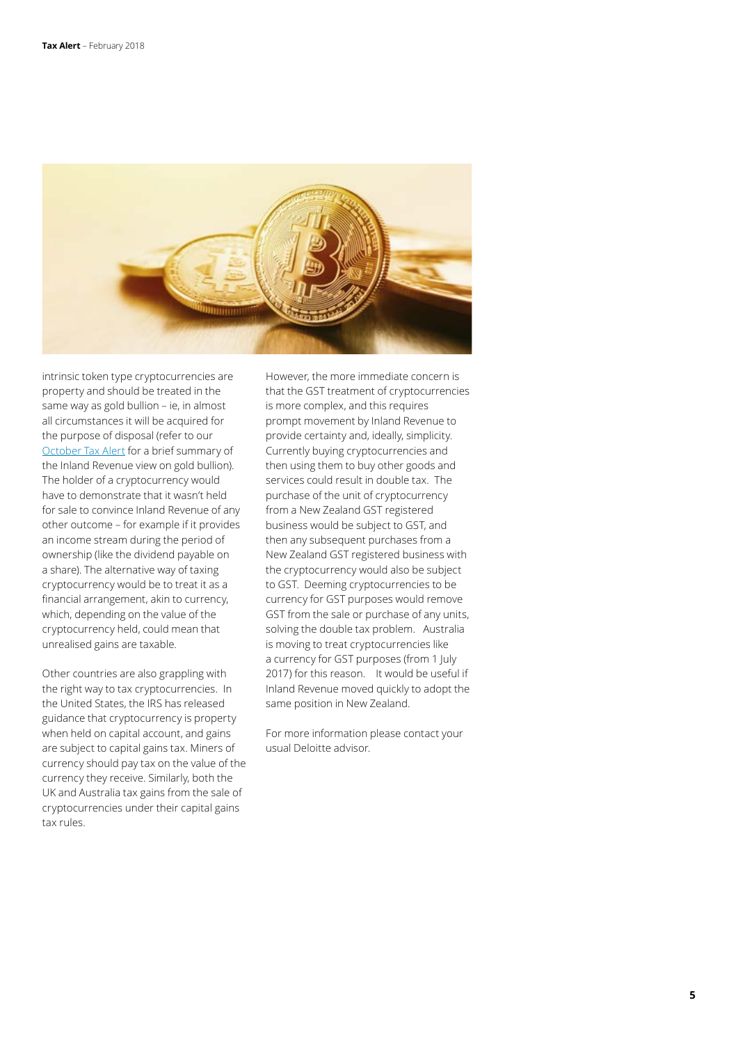

intrinsic token type cryptocurrencies are property and should be treated in the same way as gold bullion – ie, in almost all circumstances it will be acquired for the purpose of disposal (refer to our [October Tax Alert](https://www2.deloitte.com/nz/en/pages/tax-alerts/articles/snapshot-october-2017.html) for a brief summary of the Inland Revenue view on gold bullion). The holder of a cryptocurrency would have to demonstrate that it wasn't held for sale to convince Inland Revenue of any other outcome – for example if it provides an income stream during the period of ownership (like the dividend payable on a share). The alternative way of taxing cryptocurrency would be to treat it as a financial arrangement, akin to currency, which, depending on the value of the cryptocurrency held, could mean that unrealised gains are taxable.

Other countries are also grappling with the right way to tax cryptocurrencies. In the United States, the IRS has released guidance that cryptocurrency is property when held on capital account, and gains are subject to capital gains tax. Miners of currency should pay tax on the value of the currency they receive. Similarly, both the UK and Australia tax gains from the sale of cryptocurrencies under their capital gains tax rules.

However, the more immediate concern is that the GST treatment of cryptocurrencies is more complex, and this requires prompt movement by Inland Revenue to provide certainty and, ideally, simplicity. Currently buying cryptocurrencies and then using them to buy other goods and services could result in double tax. The purchase of the unit of cryptocurrency from a New Zealand GST registered business would be subject to GST, and then any subsequent purchases from a New Zealand GST registered business with the cryptocurrency would also be subject to GST. Deeming cryptocurrencies to be currency for GST purposes would remove GST from the sale or purchase of any units, solving the double tax problem. Australia is moving to treat cryptocurrencies like a currency for GST purposes (from 1 July 2017) for this reason. It would be useful if Inland Revenue moved quickly to adopt the same position in New Zealand.

For more information please contact your usual Deloitte advisor.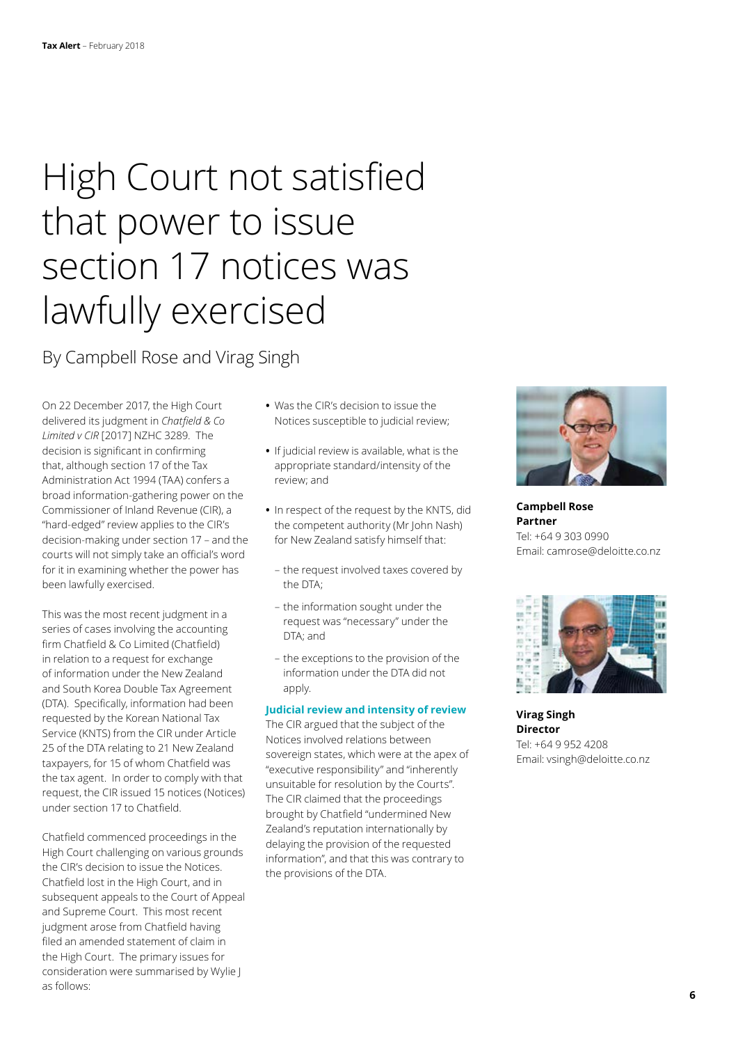## High Court not satisfied that power to issue section 17 notices was lawfully exercised

By Campbell Rose and Virag Singh

On 22 December 2017, the High Court delivered its judgment in *Chatfield & Co Limited v CIR* [2017] NZHC 3289. The decision is significant in confirming that, although section 17 of the Tax Administration Act 1994 (TAA) confers a broad information-gathering power on the Commissioner of Inland Revenue (CIR), a "hard-edged" review applies to the CIR's decision-making under section 17 – and the courts will not simply take an official's word for it in examining whether the power has been lawfully exercised.

This was the most recent judgment in a series of cases involving the accounting firm Chatfield & Co Limited (Chatfield) in relation to a request for exchange of information under the New Zealand and South Korea Double Tax Agreement (DTA). Specifically, information had been requested by the Korean National Tax Service (KNTS) from the CIR under Article 25 of the DTA relating to 21 New Zealand taxpayers, for 15 of whom Chatfield was the tax agent. In order to comply with that request, the CIR issued 15 notices (Notices) under section 17 to Chatfield.

Chatfield commenced proceedings in the High Court challenging on various grounds the CIR's decision to issue the Notices. Chatfield lost in the High Court, and in subsequent appeals to the Court of Appeal and Supreme Court. This most recent judgment arose from Chatfield having filed an amended statement of claim in the High Court. The primary issues for consideration were summarised by Wylie J as follows:

- **•** Was the CIR's decision to issue the Notices susceptible to judicial review;
- **•** If judicial review is available, what is the appropriate standard/intensity of the review; and
- **•** In respect of the request by the KNTS, did the competent authority (Mr John Nash) for New Zealand satisfy himself that:
	- the request involved taxes covered by the DTA;
	- the information sought under the request was "necessary" under the DTA; and
	- the exceptions to the provision of the information under the DTA did not apply.

#### **Judicial review and intensity of review**

The CIR argued that the subject of the Notices involved relations between sovereign states, which were at the apex of "executive responsibility" and "inherently unsuitable for resolution by the Courts". The CIR claimed that the proceedings brought by Chatfield "undermined New Zealand's reputation internationally by delaying the provision of the requested information", and that this was contrary to the provisions of the DTA.



**Campbell Rose Partner** Tel: +64 9 303 0990 Email: camrose@deloitte.co.nz



**Virag Singh Director** Tel: +64 9 952 4208 Email: vsingh@deloitte.co.nz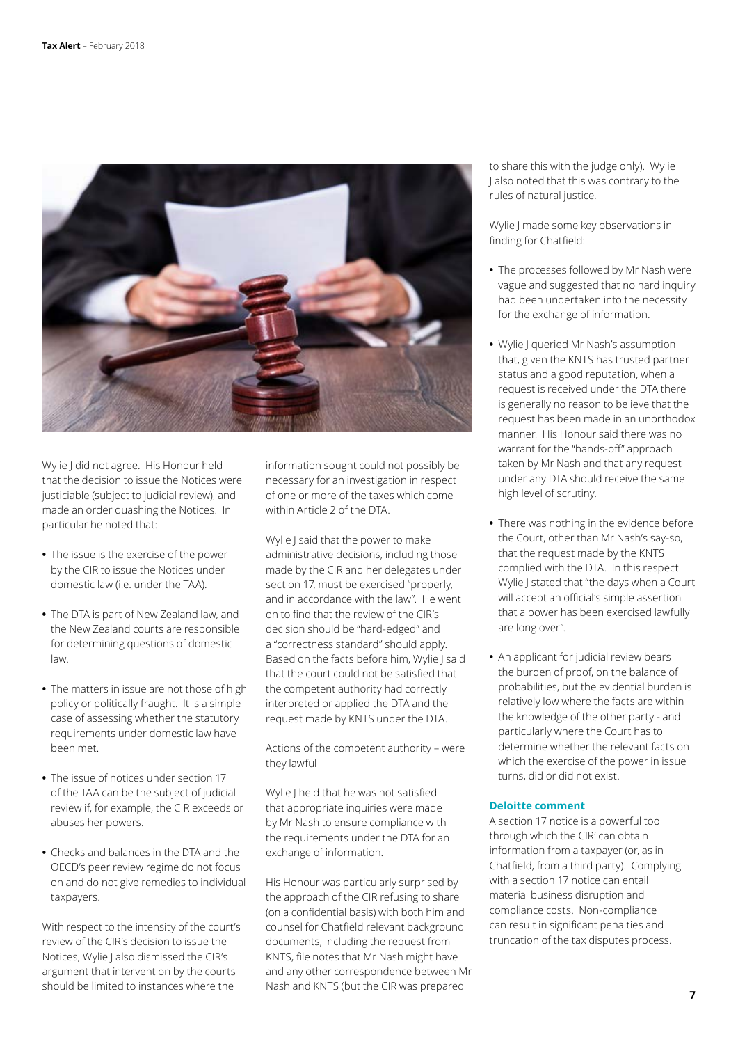

Wylie J did not agree. His Honour held that the decision to issue the Notices were justiciable (subject to judicial review), and made an order quashing the Notices. In particular he noted that:

- **•** The issue is the exercise of the power by the CIR to issue the Notices under domestic law (i.e. under the TAA).
- **•** The DTA is part of New Zealand law, and the New Zealand courts are responsible for determining questions of domestic law.
- **•** The matters in issue are not those of high policy or politically fraught. It is a simple case of assessing whether the statutory requirements under domestic law have been met.
- **•** The issue of notices under section 17 of the TAA can be the subject of judicial review if, for example, the CIR exceeds or abuses her powers.
- **•** Checks and balances in the DTA and the OECD's peer review regime do not focus on and do not give remedies to individual taxpayers.

With respect to the intensity of the court's review of the CIR's decision to issue the Notices, Wylie J also dismissed the CIR's argument that intervention by the courts should be limited to instances where the

information sought could not possibly be necessary for an investigation in respect of one or more of the taxes which come within Article 2 of the DTA.

Wylie J said that the power to make administrative decisions, including those made by the CIR and her delegates under section 17, must be exercised "properly, and in accordance with the law". He went on to find that the review of the CIR's decision should be "hard-edged" and a "correctness standard" should apply. Based on the facts before him, Wylie J said that the court could not be satisfied that the competent authority had correctly interpreted or applied the DTA and the request made by KNTS under the DTA.

Actions of the competent authority – were they lawful

Wylie J held that he was not satisfied that appropriate inquiries were made by Mr Nash to ensure compliance with the requirements under the DTA for an exchange of information.

His Honour was particularly surprised by the approach of the CIR refusing to share (on a confidential basis) with both him and counsel for Chatfield relevant background documents, including the request from KNTS, file notes that Mr Nash might have and any other correspondence between Mr Nash and KNTS (but the CIR was prepared

to share this with the judge only). Wylie J also noted that this was contrary to the rules of natural justice.

Wylie J made some key observations in finding for Chatfield:

- **•** The processes followed by Mr Nash were vague and suggested that no hard inquiry had been undertaken into the necessity for the exchange of information.
- **•** Wylie J queried Mr Nash's assumption that, given the KNTS has trusted partner status and a good reputation, when a request is received under the DTA there is generally no reason to believe that the request has been made in an unorthodox manner. His Honour said there was no warrant for the "hands-off" approach taken by Mr Nash and that any request under any DTA should receive the same high level of scrutiny.
- **•** There was nothing in the evidence before the Court, other than Mr Nash's say-so, that the request made by the KNTS complied with the DTA. In this respect Wylie J stated that "the days when a Court will accept an official's simple assertion that a power has been exercised lawfully are long over".
- **•** An applicant for judicial review bears the burden of proof, on the balance of probabilities, but the evidential burden is relatively low where the facts are within the knowledge of the other party - and particularly where the Court has to determine whether the relevant facts on which the exercise of the power in issue turns, did or did not exist.

#### **Deloitte comment**

A section 17 notice is a powerful tool through which the CIR' can obtain information from a taxpayer (or, as in Chatfield, from a third party). Complying with a section 17 notice can entail material business disruption and compliance costs. Non-compliance can result in significant penalties and truncation of the tax disputes process.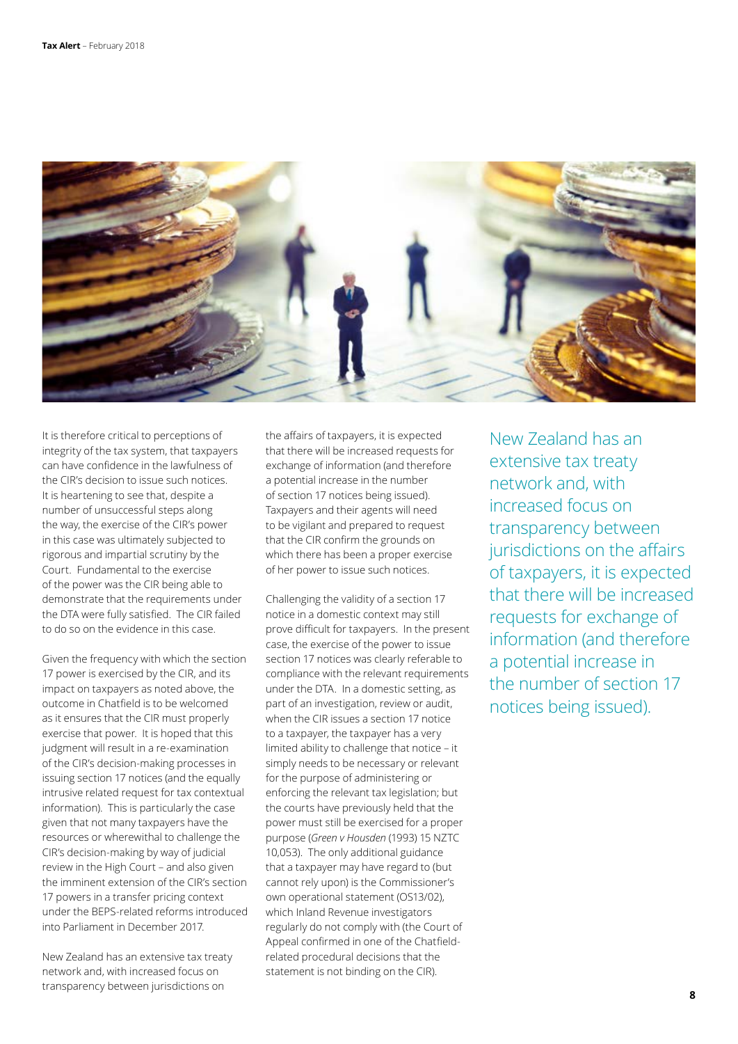

It is therefore critical to perceptions of integrity of the tax system, that taxpayers can have confidence in the lawfulness of the CIR's decision to issue such notices. It is heartening to see that, despite a number of unsuccessful steps along the way, the exercise of the CIR's power in this case was ultimately subjected to rigorous and impartial scrutiny by the Court. Fundamental to the exercise of the power was the CIR being able to demonstrate that the requirements under the DTA were fully satisfied. The CIR failed to do so on the evidence in this case.

Given the frequency with which the section 17 power is exercised by the CIR, and its impact on taxpayers as noted above, the outcome in Chatfield is to be welcomed as it ensures that the CIR must properly exercise that power. It is hoped that this judgment will result in a re-examination of the CIR's decision-making processes in issuing section 17 notices (and the equally intrusive related request for tax contextual information). This is particularly the case given that not many taxpayers have the resources or wherewithal to challenge the CIR's decision-making by way of judicial review in the High Court – and also given the imminent extension of the CIR's section 17 powers in a transfer pricing context under the BEPS-related reforms introduced into Parliament in December 2017.

New Zealand has an extensive tax treaty network and, with increased focus on transparency between jurisdictions on

the affairs of taxpayers, it is expected that there will be increased requests for exchange of information (and therefore a potential increase in the number of section 17 notices being issued). Taxpayers and their agents will need to be vigilant and prepared to request that the CIR confirm the grounds on which there has been a proper exercise of her power to issue such notices.

Challenging the validity of a section 17 notice in a domestic context may still prove difficult for taxpayers. In the present case, the exercise of the power to issue section 17 notices was clearly referable to compliance with the relevant requirements under the DTA. In a domestic setting, as part of an investigation, review or audit, when the CIR issues a section 17 notice to a taxpayer, the taxpayer has a very limited ability to challenge that notice – it simply needs to be necessary or relevant for the purpose of administering or enforcing the relevant tax legislation; but the courts have previously held that the power must still be exercised for a proper purpose (*Green v Housden* (1993) 15 NZTC 10,053). The only additional guidance that a taxpayer may have regard to (but cannot rely upon) is the Commissioner's own operational statement (OS13/02), which Inland Revenue investigators regularly do not comply with (the Court of Appeal confirmed in one of the Chatfieldrelated procedural decisions that the statement is not binding on the CIR).

New Zealand has an extensive tax treaty network and, with increased focus on transparency between jurisdictions on the affairs of taxpayers, it is expected that there will be increased requests for exchange of information (and therefore a potential increase in the number of section 17 notices being issued).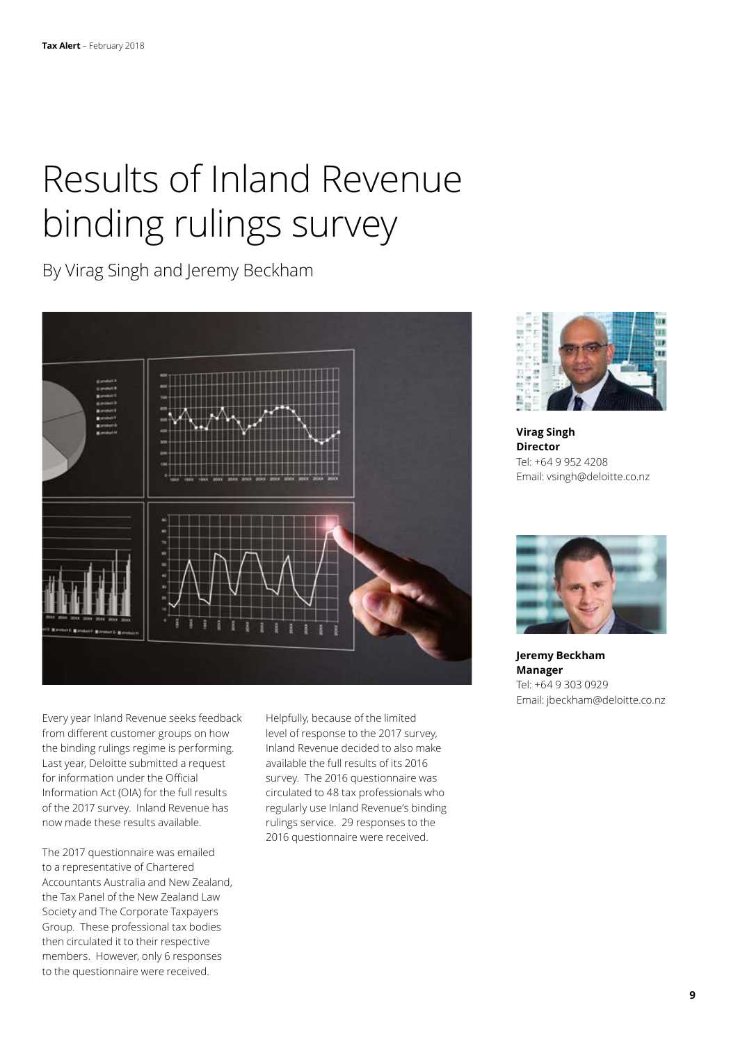## Results of Inland Revenue binding rulings survey

By Virag Singh and Jeremy Beckham



Every year Inland Revenue seeks feedback from different customer groups on how the binding rulings regime is performing. Last year, Deloitte submitted a request for information under the Official Information Act (OIA) for the full results of the 2017 survey. Inland Revenue has now made these results available.

The 2017 questionnaire was emailed to a representative of Chartered Accountants Australia and New Zealand, the Tax Panel of the New Zealand Law Society and The Corporate Taxpayers Group. These professional tax bodies then circulated it to their respective members. However, only 6 responses to the questionnaire were received.

Helpfully, because of the limited level of response to the 2017 survey, Inland Revenue decided to also make available the full results of its 2016 survey. The 2016 questionnaire was circulated to 48 tax professionals who regularly use Inland Revenue's binding rulings service. 29 responses to the 2016 questionnaire were received.



**Virag Singh Director** Tel: +64 9 952 4208 Email: vsingh@deloitte.co.nz



**Jeremy Beckham Manager** Tel: +64 9 303 0929 Email: jbeckham@deloitte.co.nz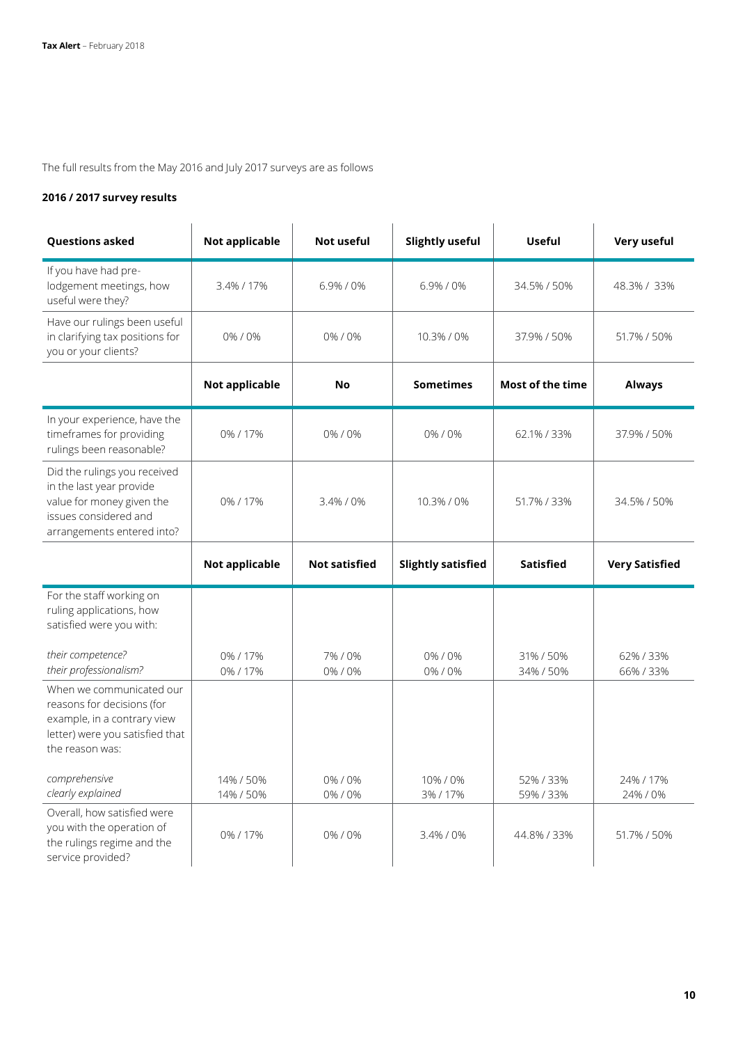The full results from the May 2016 and July 2017 surveys are as follows

### **2016 / 2017 survey results**

| <b>Questions asked</b>                                                                                                                       | <b>Not applicable</b>  | Not useful           | <b>Slightly useful</b>    | <b>Useful</b>          | Very useful           |
|----------------------------------------------------------------------------------------------------------------------------------------------|------------------------|----------------------|---------------------------|------------------------|-----------------------|
| If you have had pre-<br>lodgement meetings, how<br>useful were they?                                                                         | 3.4% / 17%             | 6.9%/0%              | 6.9%/0%                   | 34.5% / 50%            | 48.3% / 33%           |
| Have our rulings been useful<br>in clarifying tax positions for<br>you or your clients?                                                      | 0%/0%                  | 0%/0%                | 10.3% / 0%                | 37.9% / 50%            | 51.7% / 50%           |
|                                                                                                                                              | Not applicable         | No                   | <b>Sometimes</b>          | Most of the time       | <b>Always</b>         |
| In your experience, have the<br>timeframes for providing<br>rulings been reasonable?                                                         | 0%/17%                 | 0%/0%                | 0%/0%                     | 62.1% / 33%            | 37.9% / 50%           |
| Did the rulings you received<br>in the last year provide<br>value for money given the<br>issues considered and<br>arrangements entered into? | 0%/17%                 | 3.4% / 0%            | 10.3% / 0%                | 51.7% / 33%            | 34.5% / 50%           |
|                                                                                                                                              | <b>Not applicable</b>  | <b>Not satisfied</b> | <b>Slightly satisfied</b> | <b>Satisfied</b>       | <b>Very Satisfied</b> |
| For the staff working on<br>ruling applications, how<br>satisfied were you with:                                                             |                        |                      |                           |                        |                       |
| their competence?<br>their professionalism?                                                                                                  | 0%/17%<br>0%/17%       | 7%/0%<br>0%/0%       | 0%/0%<br>0%/0%            | 31% / 50%<br>34% / 50% | 62%/33%<br>66%/33%    |
| When we communicated our<br>reasons for decisions (for<br>example, in a contrary view<br>letter) were you satisfied that<br>the reason was:  |                        |                      |                           |                        |                       |
| comprehensive<br>clearly explained                                                                                                           | 14% / 50%<br>14% / 50% | 0%/0%<br>0%/0%       | 10%/0%<br>3%/17%          | 52%/33%<br>59%/33%     | 24% / 17%<br>24% / 0% |
| Overall, how satisfied were<br>you with the operation of<br>the rulings regime and the                                                       | 0%/17%                 | 0%/0%                | 3.4% / 0%                 | 44.8% / 33%            | 51.7% / 50%           |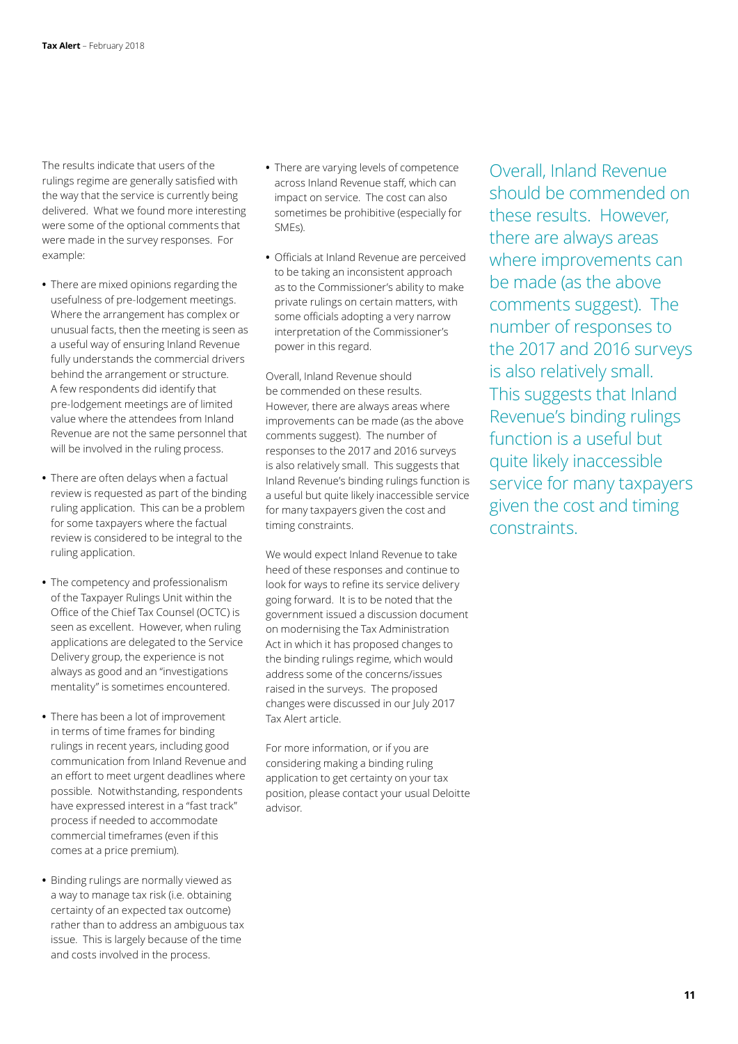The results indicate that users of the rulings regime are generally satisfied with the way that the service is currently being delivered. What we found more interesting were some of the optional comments that were made in the survey responses. For example:

- **•** There are mixed opinions regarding the usefulness of pre-lodgement meetings. Where the arrangement has complex or unusual facts, then the meeting is seen as a useful way of ensuring Inland Revenue fully understands the commercial drivers behind the arrangement or structure. A few respondents did identify that pre-lodgement meetings are of limited value where the attendees from Inland Revenue are not the same personnel that will be involved in the ruling process.
- **•** There are often delays when a factual review is requested as part of the binding ruling application. This can be a problem for some taxpayers where the factual review is considered to be integral to the ruling application.
- **•** The competency and professionalism of the Taxpayer Rulings Unit within the Office of the Chief Tax Counsel (OCTC) is seen as excellent. However, when ruling applications are delegated to the Service Delivery group, the experience is not always as good and an "investigations mentality" is sometimes encountered.
- **•** There has been a lot of improvement in terms of time frames for binding rulings in recent years, including good communication from Inland Revenue and an effort to meet urgent deadlines where possible. Notwithstanding, respondents have expressed interest in a "fast track" process if needed to accommodate commercial timeframes (even if this comes at a price premium).
- **•** Binding rulings are normally viewed as a way to manage tax risk (i.e. obtaining certainty of an expected tax outcome) rather than to address an ambiguous tax issue. This is largely because of the time and costs involved in the process.
- **•** There are varying levels of competence across Inland Revenue staff, which can impact on service. The cost can also sometimes be prohibitive (especially for SMEs).
- **•** Officials at Inland Revenue are perceived to be taking an inconsistent approach as to the Commissioner's ability to make private rulings on certain matters, with some officials adopting a very narrow interpretation of the Commissioner's power in this regard.

Overall, Inland Revenue should be commended on these results. However, there are always areas where improvements can be made (as the above comments suggest). The number of responses to the 2017 and 2016 surveys is also relatively small. This suggests that Inland Revenue's binding rulings function is a useful but quite likely inaccessible service for many taxpayers given the cost and timing constraints.

We would expect Inland Revenue to take heed of these responses and continue to look for ways to refine its service delivery going forward. It is to be noted that the government issued a discussion document on modernising the Tax Administration Act in which it has proposed changes to the binding rulings regime, which would address some of the concerns/issues raised in the surveys. The proposed changes were discussed in our July 2017 Tax Alert article.

For more information, or if you are considering making a binding ruling application to get certainty on your tax position, please contact your usual Deloitte advisor.

Overall, Inland Revenue should be commended on these results. However, there are always areas where improvements can be made (as the above comments suggest). The number of responses to the 2017 and 2016 surveys is also relatively small. This suggests that Inland Revenue's binding rulings function is a useful but quite likely inaccessible service for many taxpayers given the cost and timing constraints.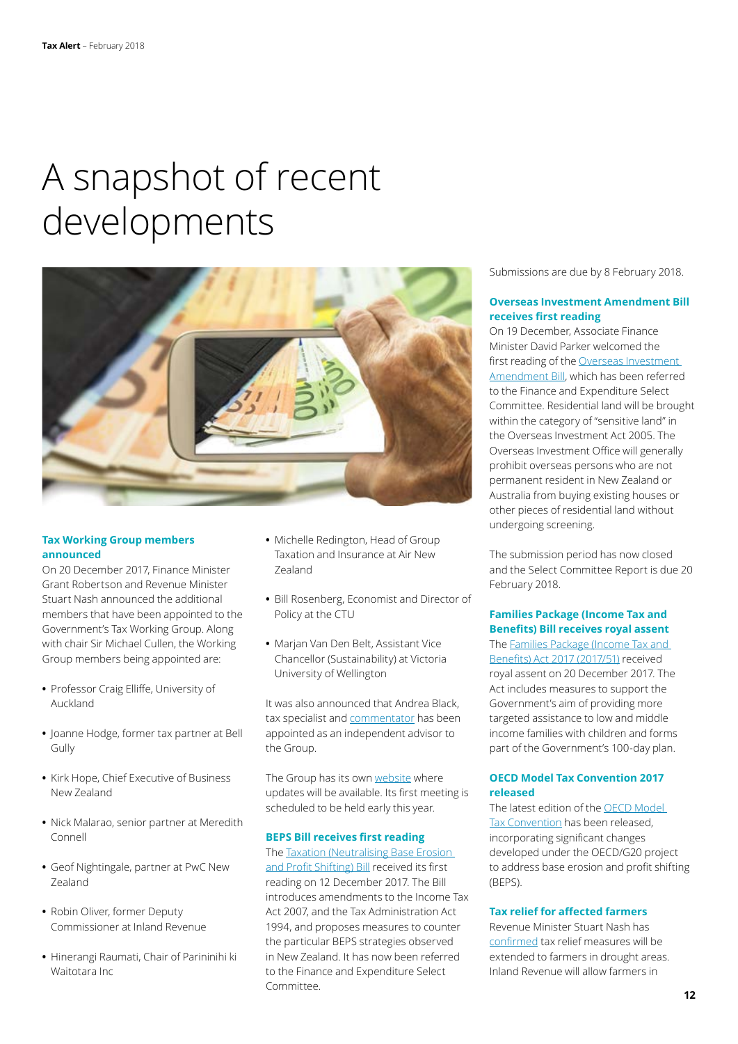## A snapshot of recent developments



#### **Tax Working Group members announced**

On 20 December 2017, Finance Minister Grant Robertson and Revenue Minister Stuart Nash announced the additional members that have been appointed to the Government's Tax Working Group. Along with chair Sir Michael Cullen, the Working Group members being appointed are:

- **•** Professor Craig Elliffe, University of Auckland
- **•** Joanne Hodge, former tax partner at Bell Gully
- **•** Kirk Hope, Chief Executive of Business New Zealand
- **•** Nick Malarao, senior partner at Meredith Connell
- **•** Geof Nightingale, partner at PwC New Zealand
- **•** Robin Oliver, former Deputy Commissioner at Inland Revenue
- **•** Hinerangi Raumati, Chair of Parininihi ki Waitotara Inc
- **•** Michelle Redington, Head of Group Taxation and Insurance at Air New Zealand
- **•** Bill Rosenberg, Economist and Director of Policy at the CTU
- **•** Marjan Van Den Belt, Assistant Vice Chancellor (Sustainability) at Victoria University of Wellington

It was also announced that Andrea Black, tax specialist and [commentator](https://letstalkabouttaxnz.com/author/letstalkabouttaxnz/) has been appointed as an independent advisor to the Group.

The Group has its own [website](https://taxworkinggroup.govt.nz/) where updates will be available. Its first meeting is scheduled to be held early this year.

#### **BEPS Bill receives first reading**

The [Taxation \(Neutralising Base Erosion](https://www.parliament.nz/en/pb/bills-and-laws/bills-proposed-laws/document/BILL_75623/taxation-neutralising-base-erosion-and-profit-shifting)  [and Profit Shifting\) Bill](https://www.parliament.nz/en/pb/bills-and-laws/bills-proposed-laws/document/BILL_75623/taxation-neutralising-base-erosion-and-profit-shifting) received its first reading on 12 December 2017. The Bill introduces amendments to the Income Tax Act 2007, and the Tax Administration Act 1994, and proposes measures to counter the particular BEPS strategies observed in New Zealand. It has now been referred to the Finance and Expenditure Select Committee.

Submissions are due by 8 February 2018.

#### **Overseas Investment Amendment Bill receives first reading**

On 19 December, Associate Finance Minister David Parker welcomed the first reading of the Overseas Investment [Amendment Bill,](https://www.parliament.nz/en/pb/bills-and-laws/bills-proposed-laws/document/BILL_75755/overseas-investment-amendment-bill) which has been referred to the Finance and Expenditure Select Committee. Residential land will be brought within the category of "sensitive land" in the Overseas Investment Act 2005. The Overseas Investment Office will generally prohibit overseas persons who are not permanent resident in New Zealand or Australia from buying existing houses or other pieces of residential land without undergoing screening.

The submission period has now closed and the Select Committee Report is due 20 February 2018.

#### **Families Package (Income Tax and Benefits) Bill receives royal assent**

The [Families Package \(Income Tax and](http://www.legislation.govt.nz/act/public/2017/0051/21.0/DLM7512314.html)  [Benefits\) Act 2017 \(2017/51\)](http://www.legislation.govt.nz/act/public/2017/0051/21.0/DLM7512314.html) received royal assent on 20 December 2017. The Act includes measures to support the Government's aim of providing more targeted assistance to low and middle income families with children and forms part of the Government's 100-day plan.

#### **OECD Model Tax Convention 2017 released**

The latest edition of the [OECD Model](http://www.oecd.org/ctp/treaties/model-tax-convention-on-income-and-on-capital-condensed-version-20745419.htm)  [Tax Convention](http://www.oecd.org/ctp/treaties/model-tax-convention-on-income-and-on-capital-condensed-version-20745419.htm) has been released, incorporating significant changes developed under the OECD/G20 project to address base erosion and profit shifting (BEPS).

#### **Tax relief for affected farmers**

Revenue Minister Stuart Nash has [confirmed](http://taxpolicy.ird.govt.nz/news/2018-01-18-drought-relief-affected-farmers#statement) tax relief measures will be extended to farmers in drought areas. Inland Revenue will allow farmers in